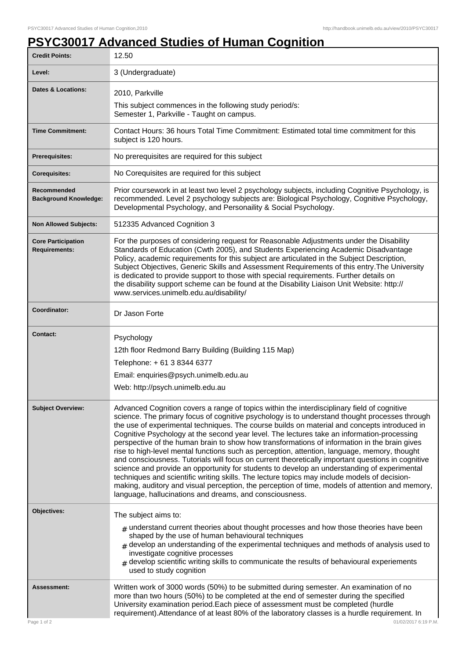## **PSYC30017 Advanced Studies of Human Cognition**

| <b>Credit Points:</b>                             | 12.50                                                                                                                                                                                                                                                                                                                                                                                                                                                                                                                                                                                                                                                                                                                                                                                                                                                                                                                                                                                                                                                        |
|---------------------------------------------------|--------------------------------------------------------------------------------------------------------------------------------------------------------------------------------------------------------------------------------------------------------------------------------------------------------------------------------------------------------------------------------------------------------------------------------------------------------------------------------------------------------------------------------------------------------------------------------------------------------------------------------------------------------------------------------------------------------------------------------------------------------------------------------------------------------------------------------------------------------------------------------------------------------------------------------------------------------------------------------------------------------------------------------------------------------------|
| Level:                                            | 3 (Undergraduate)                                                                                                                                                                                                                                                                                                                                                                                                                                                                                                                                                                                                                                                                                                                                                                                                                                                                                                                                                                                                                                            |
| <b>Dates &amp; Locations:</b>                     | 2010, Parkville                                                                                                                                                                                                                                                                                                                                                                                                                                                                                                                                                                                                                                                                                                                                                                                                                                                                                                                                                                                                                                              |
|                                                   | This subject commences in the following study period/s:<br>Semester 1, Parkville - Taught on campus.                                                                                                                                                                                                                                                                                                                                                                                                                                                                                                                                                                                                                                                                                                                                                                                                                                                                                                                                                         |
| <b>Time Commitment:</b>                           | Contact Hours: 36 hours Total Time Commitment: Estimated total time commitment for this<br>subject is 120 hours.                                                                                                                                                                                                                                                                                                                                                                                                                                                                                                                                                                                                                                                                                                                                                                                                                                                                                                                                             |
| Prerequisites:                                    | No prerequisites are required for this subject                                                                                                                                                                                                                                                                                                                                                                                                                                                                                                                                                                                                                                                                                                                                                                                                                                                                                                                                                                                                               |
| <b>Corequisites:</b>                              | No Corequisites are required for this subject                                                                                                                                                                                                                                                                                                                                                                                                                                                                                                                                                                                                                                                                                                                                                                                                                                                                                                                                                                                                                |
| Recommended<br><b>Background Knowledge:</b>       | Prior coursework in at least two level 2 psychology subjects, including Cognitive Psychology, is<br>recommended. Level 2 psychology subjects are: Biological Psychology, Cognitive Psychology,<br>Developmental Psychology, and Personaility & Social Psychology.                                                                                                                                                                                                                                                                                                                                                                                                                                                                                                                                                                                                                                                                                                                                                                                            |
| <b>Non Allowed Subjects:</b>                      | 512335 Advanced Cognition 3                                                                                                                                                                                                                                                                                                                                                                                                                                                                                                                                                                                                                                                                                                                                                                                                                                                                                                                                                                                                                                  |
| <b>Core Participation</b><br><b>Requirements:</b> | For the purposes of considering request for Reasonable Adjustments under the Disability<br>Standards of Education (Cwth 2005), and Students Experiencing Academic Disadvantage<br>Policy, academic requirements for this subject are articulated in the Subject Description,<br>Subject Objectives, Generic Skills and Assessment Requirements of this entry. The University<br>is dedicated to provide support to those with special requirements. Further details on<br>the disability support scheme can be found at the Disability Liaison Unit Website: http://<br>www.services.unimelb.edu.au/disability/                                                                                                                                                                                                                                                                                                                                                                                                                                              |
| Coordinator:                                      | Dr Jason Forte                                                                                                                                                                                                                                                                                                                                                                                                                                                                                                                                                                                                                                                                                                                                                                                                                                                                                                                                                                                                                                               |
| <b>Contact:</b>                                   | Psychology<br>12th floor Redmond Barry Building (Building 115 Map)<br>Telephone: +61 3 8344 6377<br>Email: enquiries@psych.unimelb.edu.au<br>Web: http://psych.unimelb.edu.au                                                                                                                                                                                                                                                                                                                                                                                                                                                                                                                                                                                                                                                                                                                                                                                                                                                                                |
| <b>Subject Overview:</b>                          | Advanced Cognition covers a range of topics within the interdisciplinary field of cognitive<br>science. The primary focus of cognitive psychology is to understand thought processes through<br>the use of experimental techniques. The course builds on material and concepts introduced in<br>Cognitive Psychology at the second year level. The lectures take an information-processing<br>perspective of the human brain to show how transformations of information in the brain gives<br>rise to high-level mental functions such as perception, attention, language, memory, thought<br>and consciousness. Tutorials will focus on current theoretically important questions in cognitive<br>science and provide an opportunity for students to develop an understanding of experimental<br>techniques and scientific writing skills. The lecture topics may include models of decision-<br>making, auditory and visual perception, the perception of time, models of attention and memory,<br>language, hallucinations and dreams, and consciousness. |
| Objectives:                                       | The subject aims to:                                                                                                                                                                                                                                                                                                                                                                                                                                                                                                                                                                                                                                                                                                                                                                                                                                                                                                                                                                                                                                         |
|                                                   | $#$ understand current theories about thought processes and how those theories have been<br>shaped by the use of human behavioural techniques<br>$#$ develop an understanding of the experimental techniques and methods of analysis used to<br>investigate cognitive processes<br>$#$ develop scientific writing skills to communicate the results of behavioural experiements<br>used to study cognition                                                                                                                                                                                                                                                                                                                                                                                                                                                                                                                                                                                                                                                   |
| Assessment:<br>Page 1 of 2                        | Written work of 3000 words (50%) to be submitted during semester. An examination of no<br>more than two hours (50%) to be completed at the end of semester during the specified<br>University examination period. Each piece of assessment must be completed (hurdle<br>requirement). Attendance of at least 80% of the laboratory classes is a hurdle requirement. In<br>01/02/2017 6:19 P.M.                                                                                                                                                                                                                                                                                                                                                                                                                                                                                                                                                                                                                                                               |